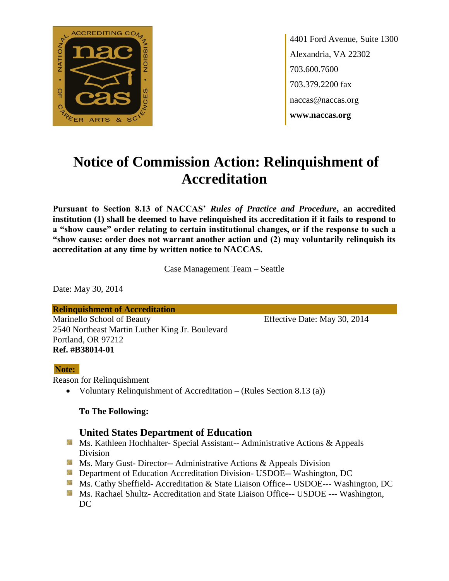

4401 Ford Avenue, Suite 1300 Alexandria, VA 22302 703.600.7600 703.379.2200 fax naccas@naccas.org **www.naccas.org**

# **Notice of Commission Action: Relinquishment of Accreditation**

**Pursuant to Section 8.13 of NACCAS'** *Rules of Practice and Procedure***, an accredited institution (1) shall be deemed to have relinquished its accreditation if it fails to respond to a "show cause" order relating to certain institutional changes, or if the response to such a "show cause: order does not warrant another action and (2) may voluntarily relinquish its accreditation at any time by written notice to NACCAS.**

Case Management Team – Seattle

Date: May 30, 2014

**Relinquishment of Accreditation** Marinello School of Beauty Effective Date: May 30, 2014 2540 Northeast Martin Luther King Jr. Boulevard Portland, OR 97212 **Ref. #B38014-01**

#### **Note:**

Reason for Relinquishment

Voluntary Relinquishment of Accreditation – (Rules Section 8.13 (a))

#### **To The Following:**

### **United States Department of Education**

- Ms. Kathleen Hochhalter- Special Assistant-- Administrative Actions & Appeals Division
- **Ms. Mary Gust- Director-- Administrative Actions & Appeals Division**
- **Department of Education Accreditation Division- USDOE-- Washington, DC**
- Ms. Cathy Sheffield- Accreditation & State Liaison Office-- USDOE--- Washington, DC
- **Ms. Rachael Shultz- Accreditation and State Liaison Office-- USDOE --- Washington,** DC